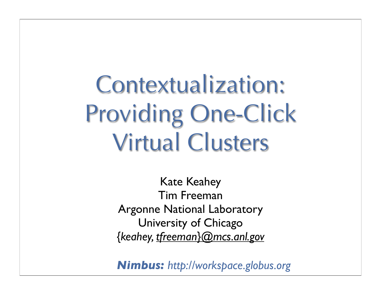Contextualization: Providing One-Click Virtual Clusters

> Kate Keahey Tim Freeman Argonne National Laboratory University of Chicago *{keahey, tfreeman}@mcs.anl.gov*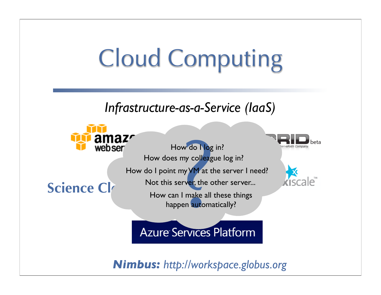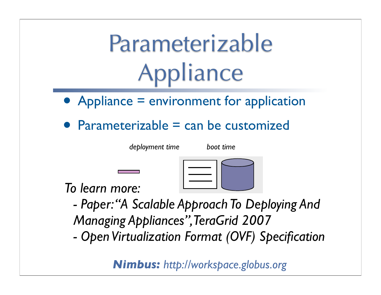# Parameterizable Appliance

- Appliance = environment for application
- Parameterizable = can be customized

*deployment time boot time*

*To learn more:*

*- Paper:"A Scalable Approach To Deploying And Managing Appliances",TeraGrid 2007*

*- Open Virtualization Format (OVF) Specification*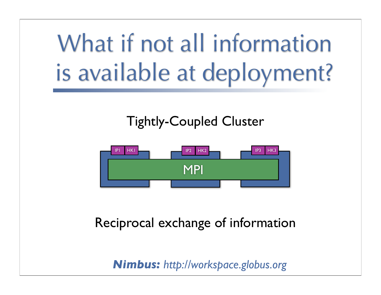# What if not all information is available at deployment?

#### Tightly-Coupled Cluster



#### Reciprocal exchange of information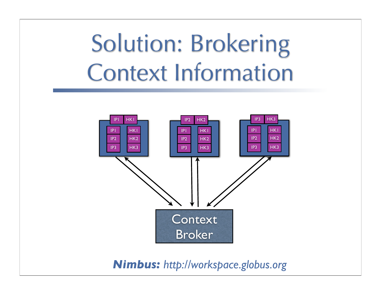## Solution: Brokering Context Information

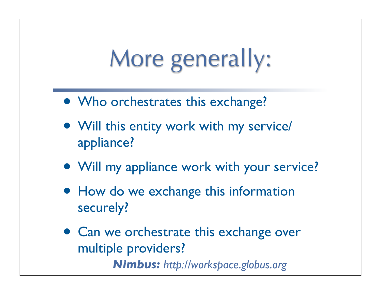## More generally:

- Who orchestrates this exchange?
- Will this entity work with my service/ appliance?
- Will my appliance work with your service?
- How do we exchange this information securely?
- *Nimbus: http://workspace.globus.org* • Can we orchestrate this exchange over multiple providers?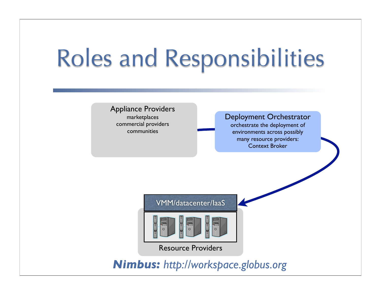## Roles and Responsibilities

Appliance Providers marketplaces commercial providers communities

Deployment Orchestrator

orchestrate the deployment of environments across possibly many resource providers: Context Broker

VMM/datacenter/IaaS



Resource Providers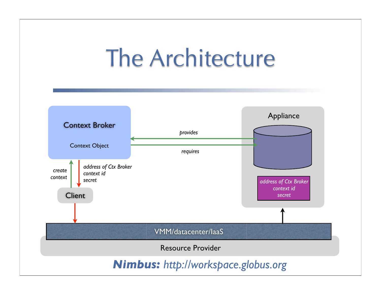#### The Architecture

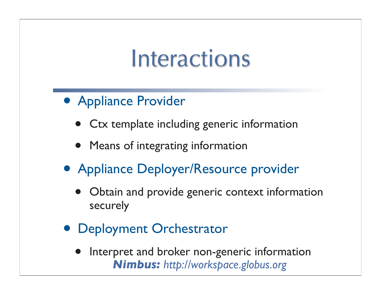#### Interactions

- Appliance Provider
	- Ctx template including generic information
	- Means of integrating information
- Appliance Deployer/Resource provider
	- Obtain and provide generic context information securely
- Deployment Orchestrator
	- *Nimbus: http://workspace.globus.org* Interpret and broker non-generic information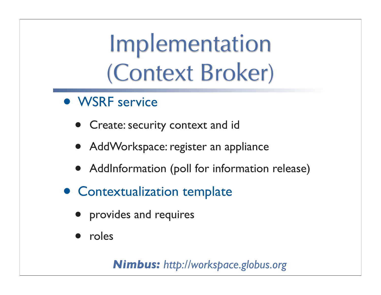## Implementation (Context Broker)

- WSRF service
	- **Create: security context and id**
	- AddWorkspace: register an appliance
	- AddInformation (poll for information release)
- Contextualization template
	- provides and requires
	- roles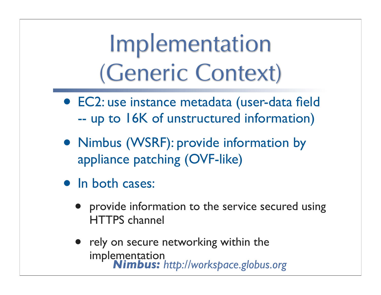### Implementation (Generic Context)

- EC2: use instance metadata (user-data field -- up to 16K of unstructured information)
- Nimbus (WSRF): provide information by appliance patching (OVF-like)
- In both cases:
	- provide information to the service secured using HTTPS channel
	- *Nimbus: http://workspace.globus.org* • rely on secure networking within the implementation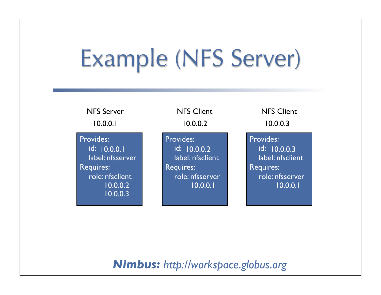## Example (NFS Server)

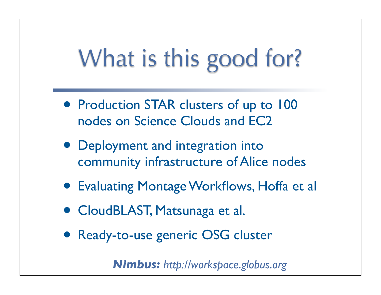# What is this good for?

- Production STAR clusters of up to 100 nodes on Science Clouds and EC2
- Deployment and integration into community infrastructure of Alice nodes
- Evaluating Montage Workflows, Hoffa et al
- CloudBLAST, Matsunaga et al.
- Ready-to-use generic OSG cluster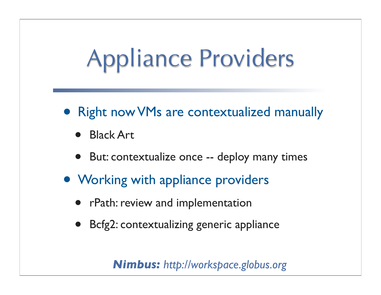# Appliance Providers

- Right now VMs are contextualized manually
	- Black Art
	- But: contextualize once -- deploy many times
- Working with appliance providers
	- rPath: review and implementation
	- Bcfg2: contextualizing generic appliance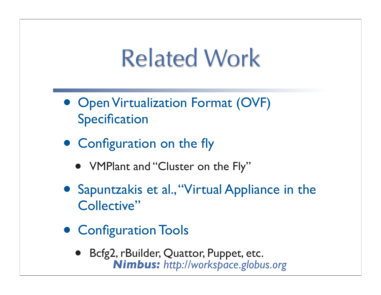#### Related Work

- Open Virtualization Format (OVF) **Specification**
- Configuration on the fly
	- VMPlant and "Cluster on the Fly"
- Sapuntzakis et al.,"Virtual Appliance in the Collective"
- Configuration Tools
	- *Nimbus: http://workspace.globus.org* • Bcfg2, rBuilder, Quattor, Puppet, etc.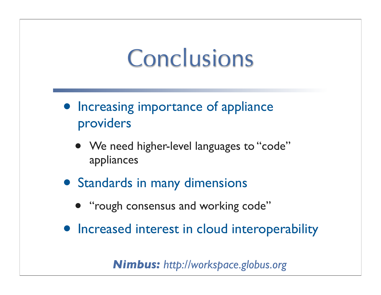#### Conclusions

- Increasing importance of appliance providers
	- We need higher-level languages to "code" appliances
- Standards in many dimensions
	- "rough consensus and working code"
- Increased interest in cloud interoperability